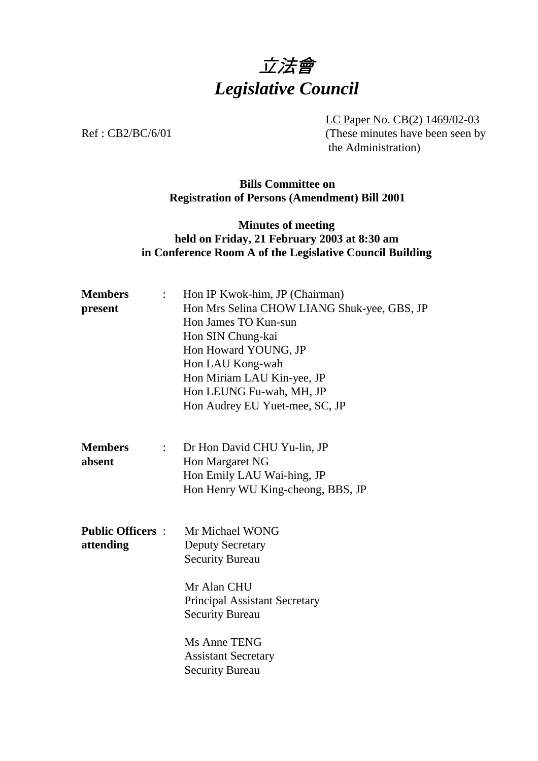# 立法會 *Legislative Council*

LC Paper No. CB(2) 1469/02-03 Ref : CB2/BC/6/01 (These minutes have been seen by the Administration)

#### **Bills Committee on Registration of Persons (Amendment) Bill 2001**

#### **Minutes of meeting held on Friday, 21 February 2003 at 8:30 am in Conference Room A of the Legislative Council Building**

| Hon IP Kwok-him, JP (Chairman)<br>$\mathbb{Z}^{\mathbb{Z}^n}$ .<br>Hon Mrs Selina CHOW LIANG Shuk-yee, GBS, JP<br>Hon James TO Kun-sun<br>Hon SIN Chung-kai<br>Hon Howard YOUNG, JP<br>Hon LAU Kong-wah<br>Hon Miriam LAU Kin-yee, JP<br>Hon LEUNG Fu-wah, MH, JP<br>Hon Audrey EU Yuet-mee, SC, JP |
|-----------------------------------------------------------------------------------------------------------------------------------------------------------------------------------------------------------------------------------------------------------------------------------------------------|
| Dr Hon David CHU Yu-lin, JP<br>$\mathbb{Z}^{\mathbb{Z}}$<br>Hon Margaret NG<br>Hon Emily LAU Wai-hing, JP<br>Hon Henry WU King-cheong, BBS, JP                                                                                                                                                      |
| Mr Michael WONG<br><b>Deputy Secretary</b><br><b>Security Bureau</b><br>Mr Alan CHU<br><b>Principal Assistant Secretary</b><br><b>Security Bureau</b><br>Ms Anne TENG<br><b>Assistant Secretary</b><br><b>Security Bureau</b>                                                                       |
|                                                                                                                                                                                                                                                                                                     |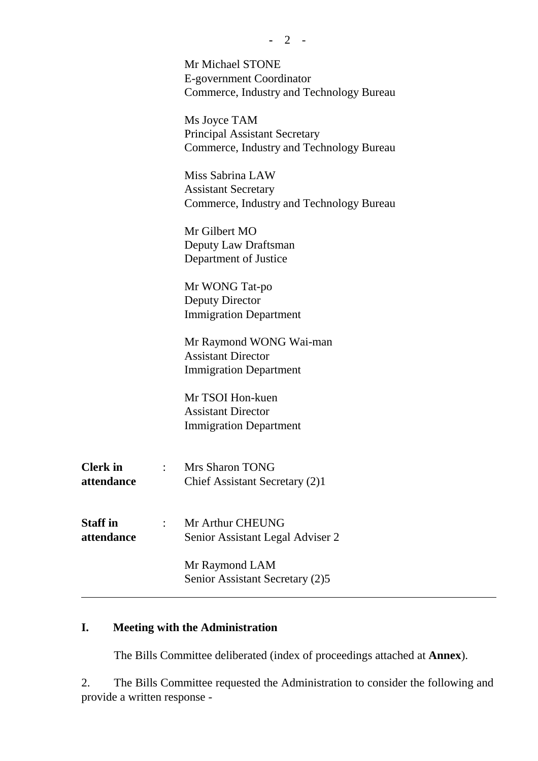|                               | Mr Michael STONE<br>E-government Coordinator<br>Commerce, Industry and Technology Bureau         |
|-------------------------------|--------------------------------------------------------------------------------------------------|
|                               | Ms Joyce TAM<br><b>Principal Assistant Secretary</b><br>Commerce, Industry and Technology Bureau |
|                               | Miss Sabrina LAW<br><b>Assistant Secretary</b><br>Commerce, Industry and Technology Bureau       |
|                               | Mr Gilbert MO<br>Deputy Law Draftsman<br>Department of Justice                                   |
|                               | Mr WONG Tat-po<br>Deputy Director<br><b>Immigration Department</b>                               |
|                               | Mr Raymond WONG Wai-man<br><b>Assistant Director</b><br><b>Immigration Department</b>            |
|                               | Mr TSOI Hon-kuen<br><b>Assistant Director</b><br><b>Immigration Department</b>                   |
| <b>Clerk</b> in<br>attendance | <b>Mrs Sharon TONG</b><br>Chief Assistant Secretary (2)1                                         |
| <b>Staff</b> in<br>attendance | Mr Arthur CHEUNG<br>Senior Assistant Legal Adviser 2                                             |
|                               | Mr Raymond LAM<br>Senior Assistant Secretary (2)5                                                |
|                               |                                                                                                  |

# **I. Meeting with the Administration**

The Bills Committee deliberated (index of proceedings attached at **Annex**).

2. The Bills Committee requested the Administration to consider the following and provide a written response -

 $\gamma$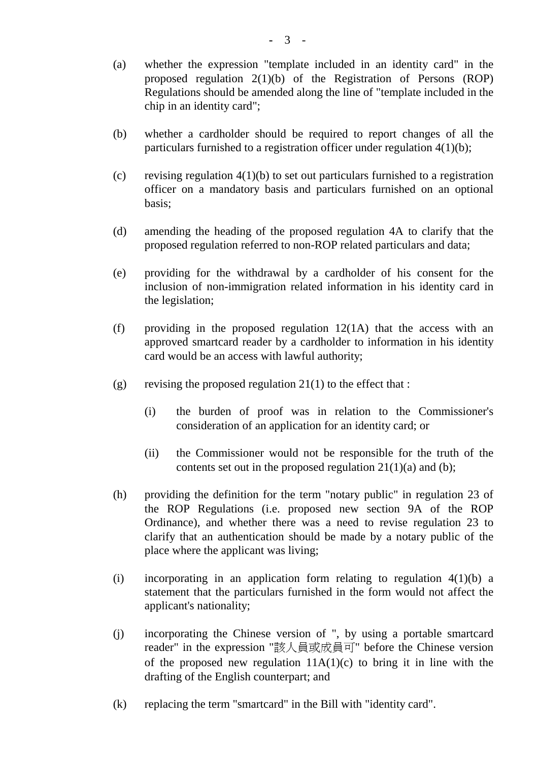- (a) whether the expression "template included in an identity card" in the proposed regulation 2(1)(b) of the Registration of Persons (ROP) Regulations should be amended along the line of "template included in the chip in an identity card";
- (b) whether a cardholder should be required to report changes of all the particulars furnished to a registration officer under regulation 4(1)(b);
- (c) revising regulation  $4(1)(b)$  to set out particulars furnished to a registration officer on a mandatory basis and particulars furnished on an optional basis;
- (d) amending the heading of the proposed regulation 4A to clarify that the proposed regulation referred to non-ROP related particulars and data;
- (e) providing for the withdrawal by a cardholder of his consent for the inclusion of non-immigration related information in his identity card in the legislation;
- (f) providing in the proposed regulation 12(1A) that the access with an approved smartcard reader by a cardholder to information in his identity card would be an access with lawful authority;
- (g) revising the proposed regulation  $21(1)$  to the effect that :
	- (i) the burden of proof was in relation to the Commissioner's consideration of an application for an identity card; or
	- (ii) the Commissioner would not be responsible for the truth of the contents set out in the proposed regulation  $21(1)(a)$  and (b);
- (h) providing the definition for the term "notary public" in regulation 23 of the ROP Regulations (i.e. proposed new section 9A of the ROP Ordinance), and whether there was a need to revise regulation 23 to clarify that an authentication should be made by a notary public of the place where the applicant was living;
- (i) incorporating in an application form relating to regulation  $4(1)(b)$  a statement that the particulars furnished in the form would not affect the applicant's nationality;
- (j) incorporating the Chinese version of ", by using a portable smartcard reader" in the expression "該㆟員或成員可" before the Chinese version of the proposed new regulation  $11A(1)(c)$  to bring it in line with the drafting of the English counterpart; and
- (k) replacing the term "smartcard" in the Bill with "identity card".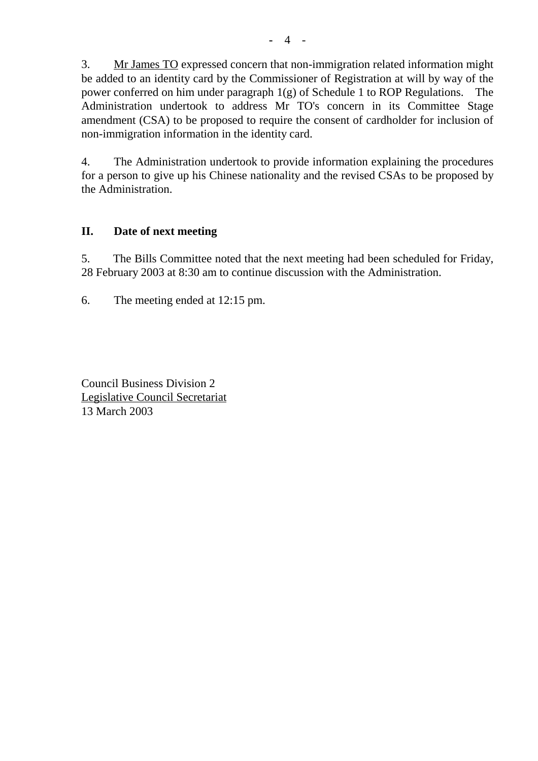3. Mr James TO expressed concern that non-immigration related information might be added to an identity card by the Commissioner of Registration at will by way of the power conferred on him under paragraph 1(g) of Schedule 1 to ROP Regulations. The Administration undertook to address Mr TO's concern in its Committee Stage amendment (CSA) to be proposed to require the consent of cardholder for inclusion of non-immigration information in the identity card.

4. The Administration undertook to provide information explaining the procedures for a person to give up his Chinese nationality and the revised CSAs to be proposed by the Administration.

### **II. Date of next meeting**

5. The Bills Committee noted that the next meeting had been scheduled for Friday, 28 February 2003 at 8:30 am to continue discussion with the Administration.

6. The meeting ended at 12:15 pm.

Council Business Division 2 Legislative Council Secretariat 13 March 2003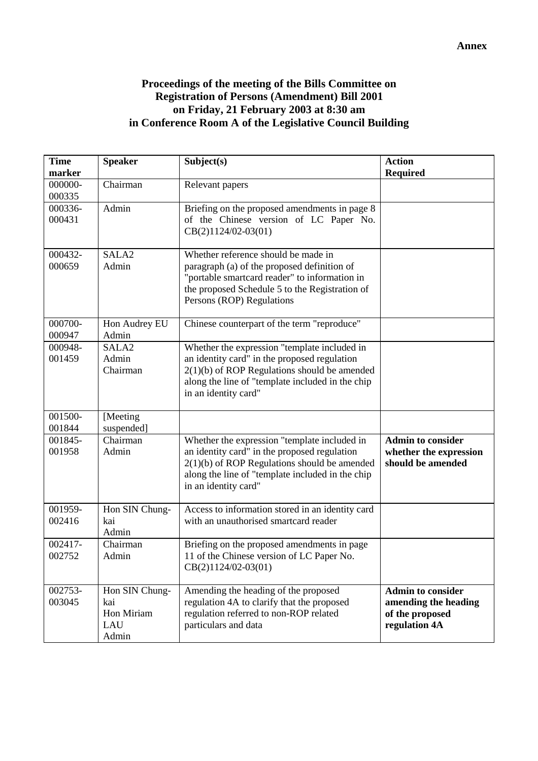## **Proceedings of the meeting of the Bills Committee on Registration of Persons (Amendment) Bill 2001 on Friday, 21 February 2003 at 8:30 am in Conference Room A of the Legislative Council Building**

| <b>Time</b><br><b>Speaker</b><br>marker      | Subject(s)                                                                                                                                                                                                                 | <b>Action</b><br><b>Required</b>                                        |
|----------------------------------------------|----------------------------------------------------------------------------------------------------------------------------------------------------------------------------------------------------------------------------|-------------------------------------------------------------------------|
| 000000-<br>Chairman                          | Relevant papers                                                                                                                                                                                                            |                                                                         |
| 000335                                       |                                                                                                                                                                                                                            |                                                                         |
| 000336-<br>Admin                             | Briefing on the proposed amendments in page 8                                                                                                                                                                              |                                                                         |
| 000431                                       | of the Chinese version of LC Paper No.<br>$CB(2)1124/02-03(01)$                                                                                                                                                            |                                                                         |
| 000432-<br>SALA <sub>2</sub>                 | Whether reference should be made in                                                                                                                                                                                        |                                                                         |
| 000659<br>Admin                              | paragraph (a) of the proposed definition of<br>"portable smartcard reader" to information in<br>the proposed Schedule 5 to the Registration of<br>Persons (ROP) Regulations                                                |                                                                         |
| 000700-<br>Hon Audrey EU<br>000947<br>Admin  | Chinese counterpart of the term "reproduce"                                                                                                                                                                                |                                                                         |
| 000948-<br>SALA <sub>2</sub>                 | Whether the expression "template included in                                                                                                                                                                               |                                                                         |
| 001459<br>Admin                              | an identity card" in the proposed regulation                                                                                                                                                                               |                                                                         |
| Chairman                                     | $2(1)(b)$ of ROP Regulations should be amended<br>along the line of "template included in the chip<br>in an identity card"                                                                                                 |                                                                         |
| 001500-<br>[Meeting]<br>001844<br>suspended] |                                                                                                                                                                                                                            |                                                                         |
| 001845-<br>Chairman<br>001958<br>Admin       | Whether the expression "template included in<br>an identity card" in the proposed regulation<br>$2(1)(b)$ of ROP Regulations should be amended<br>along the line of "template included in the chip<br>in an identity card" | <b>Admin to consider</b><br>whether the expression<br>should be amended |
| 001959-<br>Hon SIN Chung-                    | Access to information stored in an identity card                                                                                                                                                                           |                                                                         |
| 002416<br>kai<br>Admin                       | with an unauthorised smartcard reader                                                                                                                                                                                      |                                                                         |
| 002417-<br>Chairman                          | Briefing on the proposed amendments in page                                                                                                                                                                                |                                                                         |
| 002752<br>Admin                              | 11 of the Chinese version of LC Paper No.<br>$CB(2)1124/02-03(01)$                                                                                                                                                         |                                                                         |
| 002753-<br>Hon SIN Chung-                    | Amending the heading of the proposed                                                                                                                                                                                       | <b>Admin to consider</b>                                                |
| 003045<br>kai                                | regulation 4A to clarify that the proposed                                                                                                                                                                                 | amending the heading                                                    |
| Hon Miriam<br>LAU                            | regulation referred to non-ROP related<br>particulars and data                                                                                                                                                             | of the proposed                                                         |
| Admin                                        |                                                                                                                                                                                                                            | regulation 4A                                                           |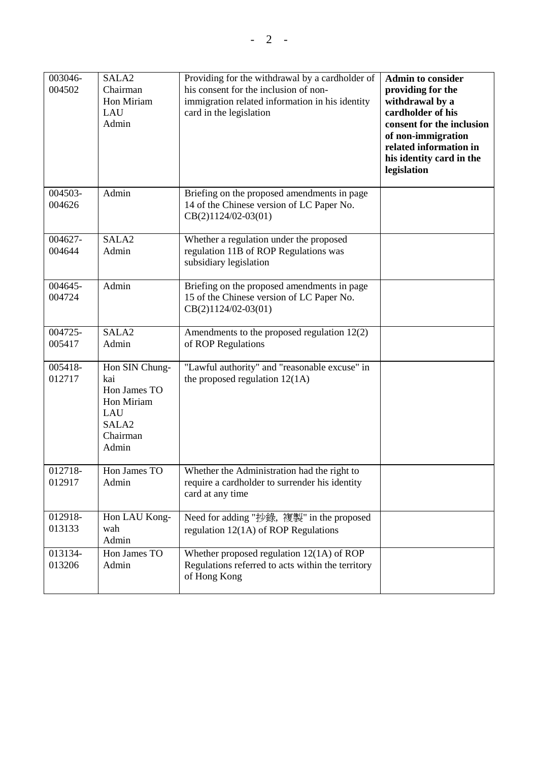| 003046-<br>004502 | SALA <sub>2</sub><br>Chairman<br>Hon Miriam<br>LAU<br>Admin                                          | Providing for the withdrawal by a cardholder of<br>his consent for the inclusion of non-<br>immigration related information in his identity<br>card in the legislation | <b>Admin to consider</b><br>providing for the<br>withdrawal by a<br>cardholder of his<br>consent for the inclusion<br>of non-immigration<br>related information in<br>his identity card in the<br>legislation |
|-------------------|------------------------------------------------------------------------------------------------------|------------------------------------------------------------------------------------------------------------------------------------------------------------------------|---------------------------------------------------------------------------------------------------------------------------------------------------------------------------------------------------------------|
| 004503-<br>004626 | Admin                                                                                                | Briefing on the proposed amendments in page<br>14 of the Chinese version of LC Paper No.<br>CB(2)1124/02-03(01)                                                        |                                                                                                                                                                                                               |
| 004627-<br>004644 | SALA <sub>2</sub><br>Admin                                                                           | Whether a regulation under the proposed<br>regulation 11B of ROP Regulations was<br>subsidiary legislation                                                             |                                                                                                                                                                                                               |
| 004645-<br>004724 | Admin                                                                                                | Briefing on the proposed amendments in page<br>15 of the Chinese version of LC Paper No.<br>CB(2)1124/02-03(01)                                                        |                                                                                                                                                                                                               |
| 004725-<br>005417 | SALA <sub>2</sub><br>Admin                                                                           | Amendments to the proposed regulation 12(2)<br>of ROP Regulations                                                                                                      |                                                                                                                                                                                                               |
| 005418-<br>012717 | Hon SIN Chung-<br>kai<br>Hon James TO<br>Hon Miriam<br>LAU<br>SALA <sub>2</sub><br>Chairman<br>Admin | "Lawful authority" and "reasonable excuse" in<br>the proposed regulation $12(1A)$                                                                                      |                                                                                                                                                                                                               |
| 012718-<br>012917 | Hon James TO<br>Admin                                                                                | Whether the Administration had the right to<br>require a cardholder to surrender his identity<br>card at any time                                                      |                                                                                                                                                                                                               |
| 012918-<br>013133 | Hon LAU Kong-<br>wah<br>Admin                                                                        | Need for adding "抄錄, 複製" in the proposed<br>regulation $12(1A)$ of ROP Regulations                                                                                     |                                                                                                                                                                                                               |
| 013134-<br>013206 | Hon James TO<br>Admin                                                                                | Whether proposed regulation $12(1A)$ of ROP<br>Regulations referred to acts within the territory<br>of Hong Kong                                                       |                                                                                                                                                                                                               |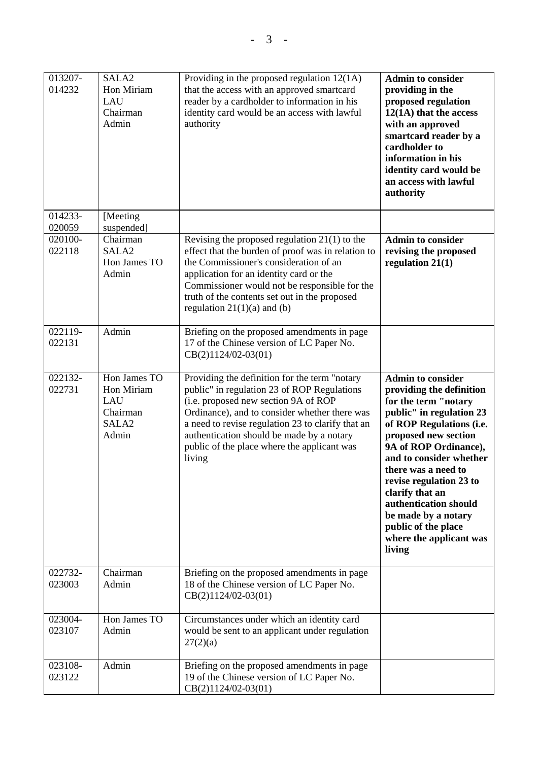| 013207-<br>014232<br>014233-<br>020059 | SALA <sub>2</sub><br>Hon Miriam<br>LAU<br>Chairman<br>Admin<br>[Meeting]<br>suspended] | Providing in the proposed regulation $12(1A)$<br>that the access with an approved smartcard<br>reader by a cardholder to information in his<br>identity card would be an access with lawful<br>authority                                                                                                                                         | <b>Admin to consider</b><br>providing in the<br>proposed regulation<br>$12(1A)$ that the access<br>with an approved<br>smartcard reader by a<br>cardholder to<br>information in his<br>identity card would be<br>an access with lawful<br>authority                                                                                                                                               |
|----------------------------------------|----------------------------------------------------------------------------------------|--------------------------------------------------------------------------------------------------------------------------------------------------------------------------------------------------------------------------------------------------------------------------------------------------------------------------------------------------|---------------------------------------------------------------------------------------------------------------------------------------------------------------------------------------------------------------------------------------------------------------------------------------------------------------------------------------------------------------------------------------------------|
| 020100-<br>022118                      | Chairman<br>SALA <sub>2</sub><br>Hon James TO<br>Admin                                 | Revising the proposed regulation $21(1)$ to the<br>effect that the burden of proof was in relation to<br>the Commissioner's consideration of an<br>application for an identity card or the<br>Commissioner would not be responsible for the<br>truth of the contents set out in the proposed<br>regulation $21(1)(a)$ and (b)                    | <b>Admin to consider</b><br>revising the proposed<br>regulation $21(1)$                                                                                                                                                                                                                                                                                                                           |
| 022119-<br>022131                      | Admin                                                                                  | Briefing on the proposed amendments in page<br>17 of the Chinese version of LC Paper No.<br>$CB(2)1124/02-03(01)$                                                                                                                                                                                                                                |                                                                                                                                                                                                                                                                                                                                                                                                   |
| 022132-<br>022731                      | Hon James TO<br>Hon Miriam<br>LAU<br>Chairman<br>SALA <sub>2</sub><br>Admin            | Providing the definition for the term "notary<br>public" in regulation 23 of ROP Regulations<br>(i.e. proposed new section 9A of ROP<br>Ordinance), and to consider whether there was<br>a need to revise regulation 23 to clarify that an<br>authentication should be made by a notary<br>public of the place where the applicant was<br>living | <b>Admin to consider</b><br>providing the definition<br>for the term "notary<br>public" in regulation 23<br>of ROP Regulations (i.e.<br>proposed new section<br>9A of ROP Ordinance),<br>and to consider whether<br>there was a need to<br>revise regulation 23 to<br>clarify that an<br>authentication should<br>be made by a notary<br>public of the place<br>where the applicant was<br>living |
| 022732-<br>023003                      | Chairman<br>Admin                                                                      | Briefing on the proposed amendments in page<br>18 of the Chinese version of LC Paper No.<br>$CB(2)1124/02-03(01)$                                                                                                                                                                                                                                |                                                                                                                                                                                                                                                                                                                                                                                                   |
| 023004-<br>023107                      | Hon James TO<br>Admin                                                                  | Circumstances under which an identity card<br>would be sent to an applicant under regulation<br>27(2)(a)                                                                                                                                                                                                                                         |                                                                                                                                                                                                                                                                                                                                                                                                   |
| 023108-<br>023122                      | Admin                                                                                  | Briefing on the proposed amendments in page<br>19 of the Chinese version of LC Paper No.<br>CB(2)1124/02-03(01)                                                                                                                                                                                                                                  |                                                                                                                                                                                                                                                                                                                                                                                                   |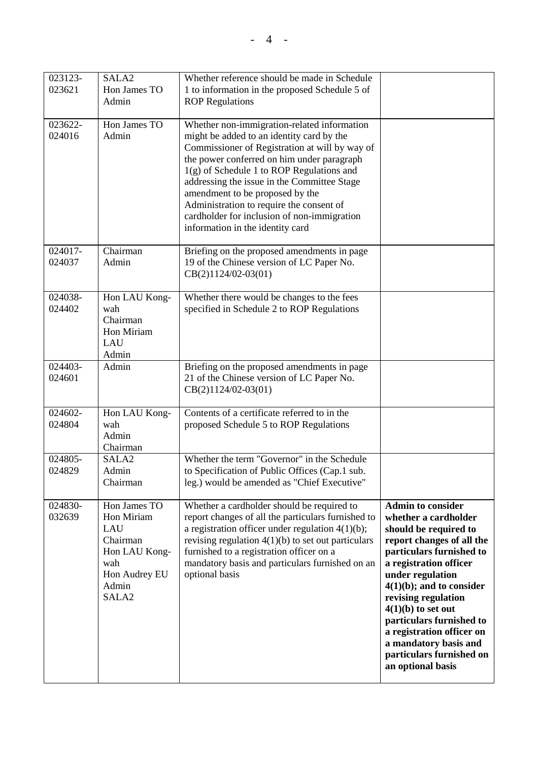| 023123-<br>023621 | SALA <sub>2</sub><br>Hon James TO<br>Admin                                                                           | Whether reference should be made in Schedule<br>1 to information in the proposed Schedule 5 of<br><b>ROP Regulations</b>                                                                                                                                                                                                                                                                                                                                 |                                                                                                                                                                                                                                                                                                                                                                                                   |
|-------------------|----------------------------------------------------------------------------------------------------------------------|----------------------------------------------------------------------------------------------------------------------------------------------------------------------------------------------------------------------------------------------------------------------------------------------------------------------------------------------------------------------------------------------------------------------------------------------------------|---------------------------------------------------------------------------------------------------------------------------------------------------------------------------------------------------------------------------------------------------------------------------------------------------------------------------------------------------------------------------------------------------|
| 023622-<br>024016 | Hon James TO<br>Admin                                                                                                | Whether non-immigration-related information<br>might be added to an identity card by the<br>Commissioner of Registration at will by way of<br>the power conferred on him under paragraph<br>$1(g)$ of Schedule 1 to ROP Regulations and<br>addressing the issue in the Committee Stage<br>amendment to be proposed by the<br>Administration to require the consent of<br>cardholder for inclusion of non-immigration<br>information in the identity card |                                                                                                                                                                                                                                                                                                                                                                                                   |
| 024017-<br>024037 | Chairman<br>Admin                                                                                                    | Briefing on the proposed amendments in page<br>19 of the Chinese version of LC Paper No.<br>$CB(2)1124/02-03(01)$                                                                                                                                                                                                                                                                                                                                        |                                                                                                                                                                                                                                                                                                                                                                                                   |
| 024038-<br>024402 | Hon LAU Kong-<br>wah<br>Chairman<br>Hon Miriam<br>LAU<br>Admin                                                       | Whether there would be changes to the fees<br>specified in Schedule 2 to ROP Regulations                                                                                                                                                                                                                                                                                                                                                                 |                                                                                                                                                                                                                                                                                                                                                                                                   |
| 024403-<br>024601 | Admin                                                                                                                | Briefing on the proposed amendments in page<br>21 of the Chinese version of LC Paper No.<br>$CB(2)1124/02-03(01)$                                                                                                                                                                                                                                                                                                                                        |                                                                                                                                                                                                                                                                                                                                                                                                   |
| 024602-<br>024804 | Hon LAU Kong-<br>wah<br>Admin<br>Chairman                                                                            | Contents of a certificate referred to in the<br>proposed Schedule 5 to ROP Regulations                                                                                                                                                                                                                                                                                                                                                                   |                                                                                                                                                                                                                                                                                                                                                                                                   |
| 024805-<br>024829 | SALA <sub>2</sub><br>Admin<br>Chairman                                                                               | Whether the term "Governor" in the Schedule<br>to Specification of Public Offices (Cap.1 sub.<br>leg.) would be amended as "Chief Executive"                                                                                                                                                                                                                                                                                                             |                                                                                                                                                                                                                                                                                                                                                                                                   |
| 024830-<br>032639 | Hon James TO<br>Hon Miriam<br>LAU<br>Chairman<br>Hon LAU Kong-<br>wah<br>Hon Audrey EU<br>Admin<br>SALA <sub>2</sub> | Whether a cardholder should be required to<br>report changes of all the particulars furnished to<br>a registration officer under regulation $4(1)(b)$ ;<br>revising regulation $4(1)(b)$ to set out particulars<br>furnished to a registration officer on a<br>mandatory basis and particulars furnished on an<br>optional basis                                                                                                                         | <b>Admin to consider</b><br>whether a cardholder<br>should be required to<br>report changes of all the<br>particulars furnished to<br>a registration officer<br>under regulation<br>$4(1)(b)$ ; and to consider<br>revising regulation<br>$4(1)(b)$ to set out<br>particulars furnished to<br>a registration officer on<br>a mandatory basis and<br>particulars furnished on<br>an optional basis |